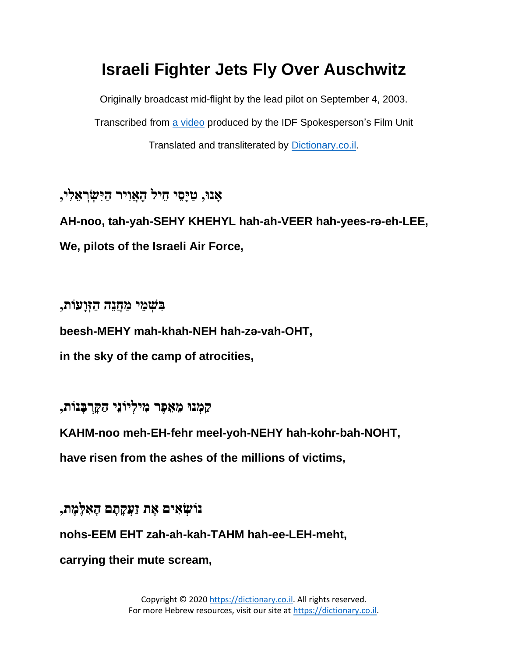## **Israeli Fighter Jets Fly Over Auschwitz**

Originally broadcast mid-flight by the lead pilot on September 4, 2003.

Transcribed from [a video](https://youtu.be/2UVMXy8iVZ8) produced by the IDF Spokesperson's Film Unit

Translated and transliterated by [Dictionary.co.il.](http://www.dictionary.co.il/)

**, ָאנּו, ַטָיֵסי ֵחיל ָה ֲאִויר ַהִי ְׂשְׂר ֵא ִלי AH-noo, tah-yah-SEHY KHEHYL hah-ah-VEER hah-yees-rǝ-eh-LEE, We, pilots of the Israeli Air Force,**

**בִ שְׂ מֵ י מַ חֲנֵה הַ זְׂוָעֹות ,**

**beesh-MEHY mah-khah-NEH hah-zǝ-vah-OHT,**

**in the sky of the camp of atrocities,** 

**קַ מְׂ נּו מֵ אֵ פֶר מִ ילְׂ יֹונֵי הַ קָ רְׂ בָ נֹות,** 

**KAHM-noo meh-EH-fehr meel-yoh-NEHY hah-kohr-bah-NOHT,**

**have risen from the ashes of the millions of victims,**

**נֹושְׂ אִ ים אֶ ת זַעֲקָ תָ ם הָ אִ לֶמֶ ת, nohs-EEM EHT zah-ah-kah-TAHM hah-ee-LEH-meht, carrying their mute scream,**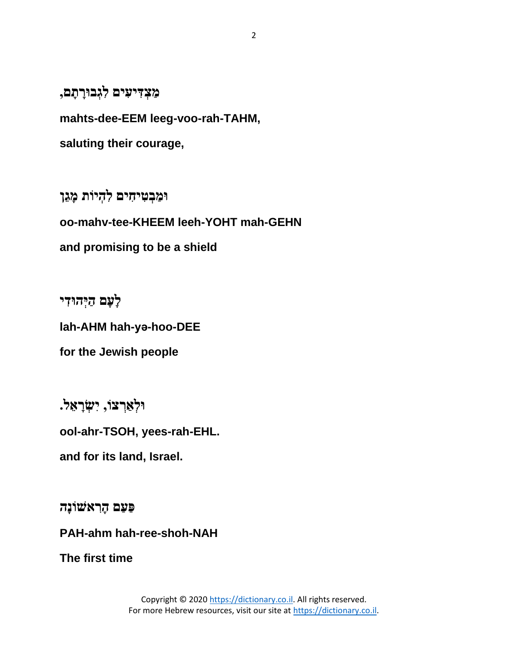## מַצְ**דִיעִים לִגְבוּרָתָם,**

**mahts-dee-EEM leeg-voo-rah-TAHM,**

**saluting their courage,**

**וּמַבְטִיהָים לְהָיוֹת מָגֵן oo-mahv-tee-KHEEM leeh-YOHT mah-GEHN and promising to be a shield**

**לָעָם ַהְׂיהּו ִדי lah-AHM hah-yǝ-hoo-DEE for the Jewish people**

**וּלְאַרְצוֹ, יִשְׂרָאֵל.** 

**ool-ahr-TSOH, yees-rah-EHL.**

**and for its land, Israel.**

**פַעַם הָ רִ אשֹונָה**

**PAH-ahm hah-ree-shoh-NAH**

**The first time**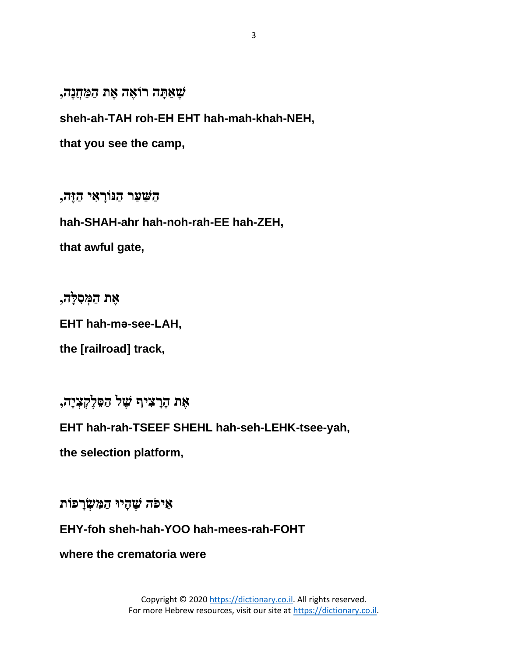**שֶ אַ תָ ה רֹואֶ ה אֶ ת הַ מַ חֲנֶה,** 

**sheh-ah-TAH roh-EH EHT hah-mah-khah-NEH,**

**that you see the camp,**

**הַ שַ עַר הַ ּנֹורָ אִ י הַ זֶה,** 

**hah-SHAH-ahr hah-noh-rah-EE hah-ZEH,**

**that awful gate,**

**אֶ ת הַ מְׂ סִ לָה,** 

**EHT hah-mǝ-see-LAH,**

**the [railroad] track,**

**אֶ ת הָ רָ צִ יף שֶ ל הַ סֵ לֶקְׂ צְׂ יָה,**

**EHT hah-rah-TSEEF SHEHL hah-seh-LEHK-tsee-yah,**

**the selection platform,**

**אֵ יפֹה שֶ הָ יּו הַ מִ שְׂ רָ פֹות** 

**EHY-foh sheh-hah-YOO hah-mees-rah-FOHT**

**where the crematoria were**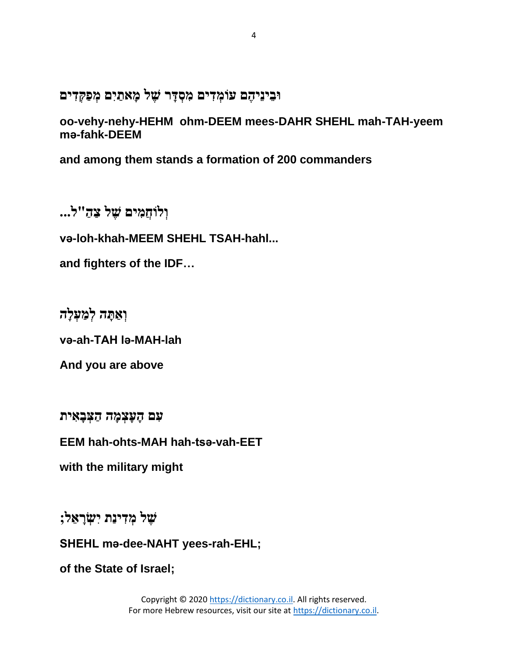**ּובֵ ינֵיהֶ ם עֹומְׂ דִ ים מִ סְׂ דָ ר שֶ ל מָ אתַ יִם מְׂ פַקְׂ דִ ים** 

**oo-vehy-nehy-HEHM ohm-DEEM mees-DAHR SHEHL mah-TAH-yeem mǝ-fahk-DEEM**

**and among them stands a formation of 200 commanders**

**וְׂ לֹוחֲמִ ים שֶ ל צַ הַ "ל...** 

**vǝ-loh-khah-MEEM SHEHL TSAH-hahl...**

**and fighters of the IDF…**

**וְׂ אַ תָ ה לְׂ מַ עְׂ לָה** 

**vǝ-ah-TAH lǝ-MAH-lah**

**And you are above**

עִם הָעָצְמָה הַצִּבָאִית

**EEM hah-ohts-MAH hah-tsǝ-vah-EET**

**with the military might**

**שֶ ל מְׂ דִ ינַת יִשְׂ רָ אֵ ל;**

**SHEHL mǝ-dee-NAHT yees-rah-EHL;**

**of the State of Israel;**

Copyright © 202[0 https://dictionary.co.il.](https://dictionary.co.il/) All rights reserved. For more Hebrew resources, visit our site at [https://dictionary.co.il](https://dictionary.co.il/).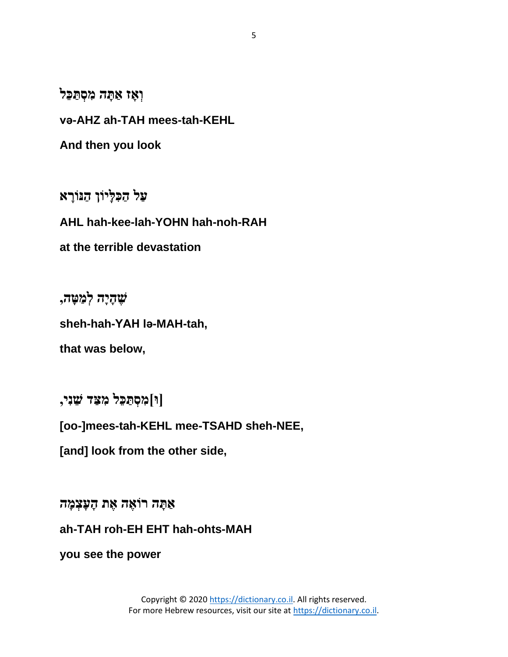**וְאָז אַתָּה מִסְתַּכֵּל** 

**vǝ-AHZ ah-TAH mees-tah-KEHL**

**And then you look** 

**עַל הַ כִ לָיֹון הַ ּנֹורָ א** 

**AHL hah-kee-lah-YOHN hah-noh-RAH**

**at the terrible devastation**

**שֶ הָ יָה לְׂ מַ טָ ה,** 

**sheh-hah-YAH lǝ-MAH-tah,**

**that was below,**

**]ּו[מִ סְׂ תַ כֵל מִ צַ ד שֵ נִי,**

**[oo-]mees-tah-KEHL mee-TSAHD sheh-NEE,**

**[and] look from the other side,**

**אַ תָ ה רֹואֶ ה אֶ ת הָ עָצְׂ מָ ה**

**ah-TAH roh-EH EHT hah-ohts-MAH**

**you see the power**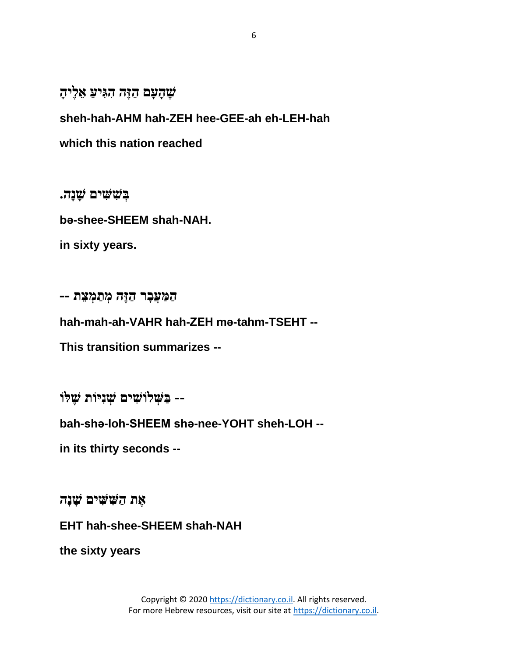**שֶ הָ עָם הַ זֶה הִ גִ יעַ אֵ לֶיהָ** 

**sheh-hah-AHM hah-ZEH hee-GEE-ah eh-LEH-hah**

**which this nation reached**

**בְׂ שִ שִ ים שָ נָה. bǝ-shee-SHEEM shah-NAH. in sixty years.**

**הַ מַ עֲבָ ר הַ זֶה מְׂ תַ מְׂ צֵ ת --** 

**hah-mah-ah-VAHR hah-ZEH mǝ-tahm-TSEHT --**

**This transition summarizes --**

**-- בַ שְׂ לֹושִ ים שְׂ נִיֹות שֶ לֹו**

**bah-shǝ-loh-SHEEM shǝ-nee-YOHT sheh-LOH --**

**in its thirty seconds --**

**אֶ ת הַ שִ שִ ים שָ נָה**

**EHT hah-shee-SHEEM shah-NAH**

**the sixty years**